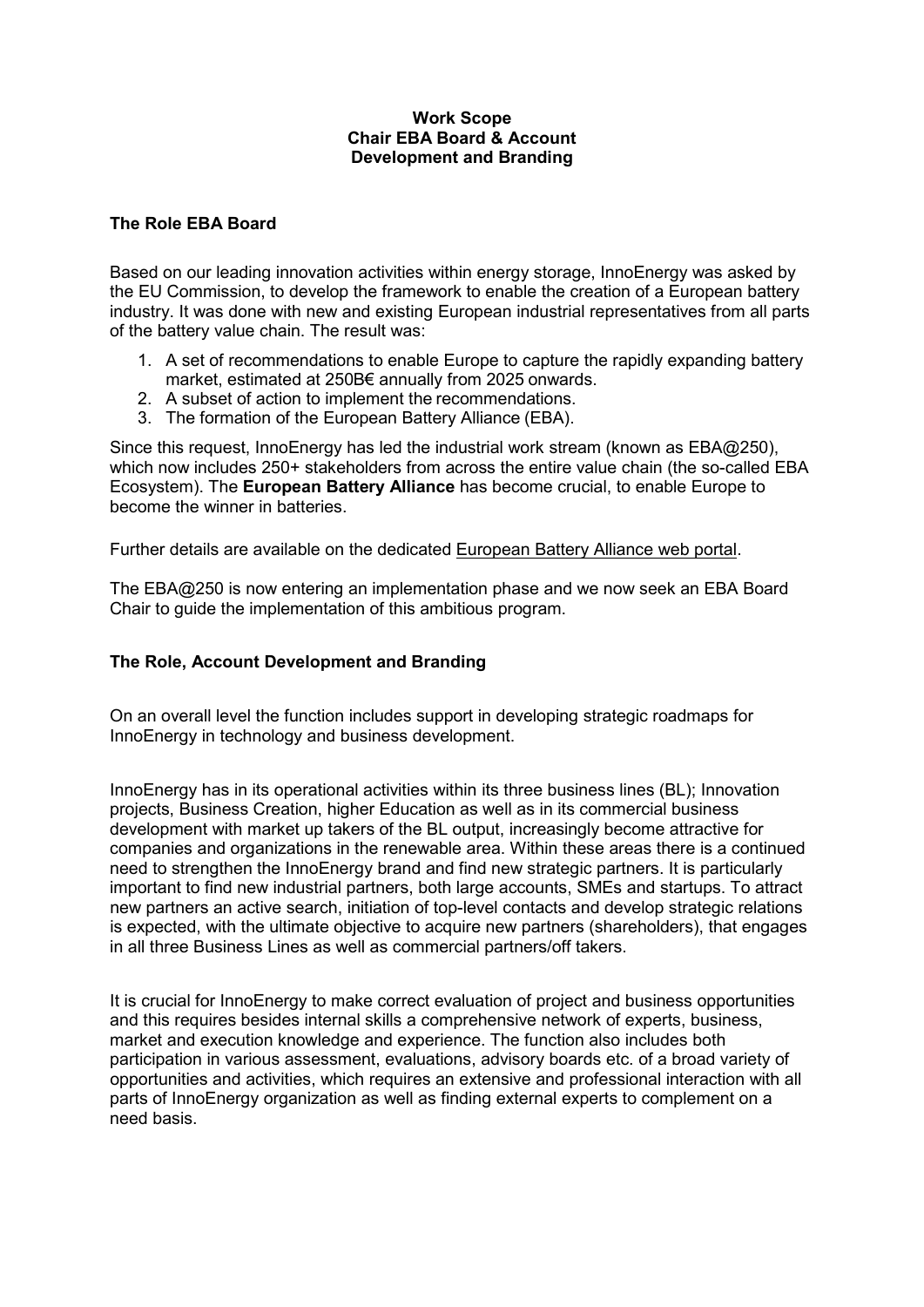#### **Work Scope Chair EBA Board & Account Development and Branding**

### **The Role EBA Board**

Based on our leading innovation activities within energy storage, InnoEnergy was asked by the EU Commission, to develop the framework to enable the creation of a European battery industry. It was done with new and existing European industrial representatives from all parts of the battery value chain. The result was:

- 1. A set of recommendations to enable Europe to capture the rapidly expanding battery market, estimated at 250B€ annually from 2025 onwards.
- 2. A subset of action to implement the recommendations.
- 3. The formation of the European Battery Alliance (EBA).

Since this request, InnoEnergy has led the industrial work stream (known as EBA@250), which now includes 250+ stakeholders from across the entire value chain (the so-called EBA Ecosystem). The **European Battery Alliance** has become crucial, to enable Europe to become the winner in batteries.

Further details are available on the dedicated [European Battery Alliance web portal.](https://ec.europa.eu/growth/industry/policy/european-battery-alliance_en)

The EBA@250 is now entering an implementation phase and we now seek an EBA Board Chair to guide the implementation of this ambitious program.

### **The Role, Account Development and Branding**

On an overall level the function includes support in developing strategic roadmaps for InnoEnergy in technology and business development.

InnoEnergy has in its operational activities within its three business lines (BL); Innovation projects, Business Creation, higher Education as well as in its commercial business development with market up takers of the BL output, increasingly become attractive for companies and organizations in the renewable area. Within these areas there is a continued need to strengthen the InnoEnergy brand and find new strategic partners. It is particularly important to find new industrial partners, both large accounts, SMEs and startups. To attract new partners an active search, initiation of top-level contacts and develop strategic relations is expected, with the ultimate objective to acquire new partners (shareholders), that engages in all three Business Lines as well as commercial partners/off takers.

It is crucial for InnoEnergy to make correct evaluation of project and business opportunities and this requires besides internal skills a comprehensive network of experts, business, market and execution knowledge and experience. The function also includes both participation in various assessment, evaluations, advisory boards etc. of a broad variety of opportunities and activities, which requires an extensive and professional interaction with all parts of InnoEnergy organization as well as finding external experts to complement on a need basis.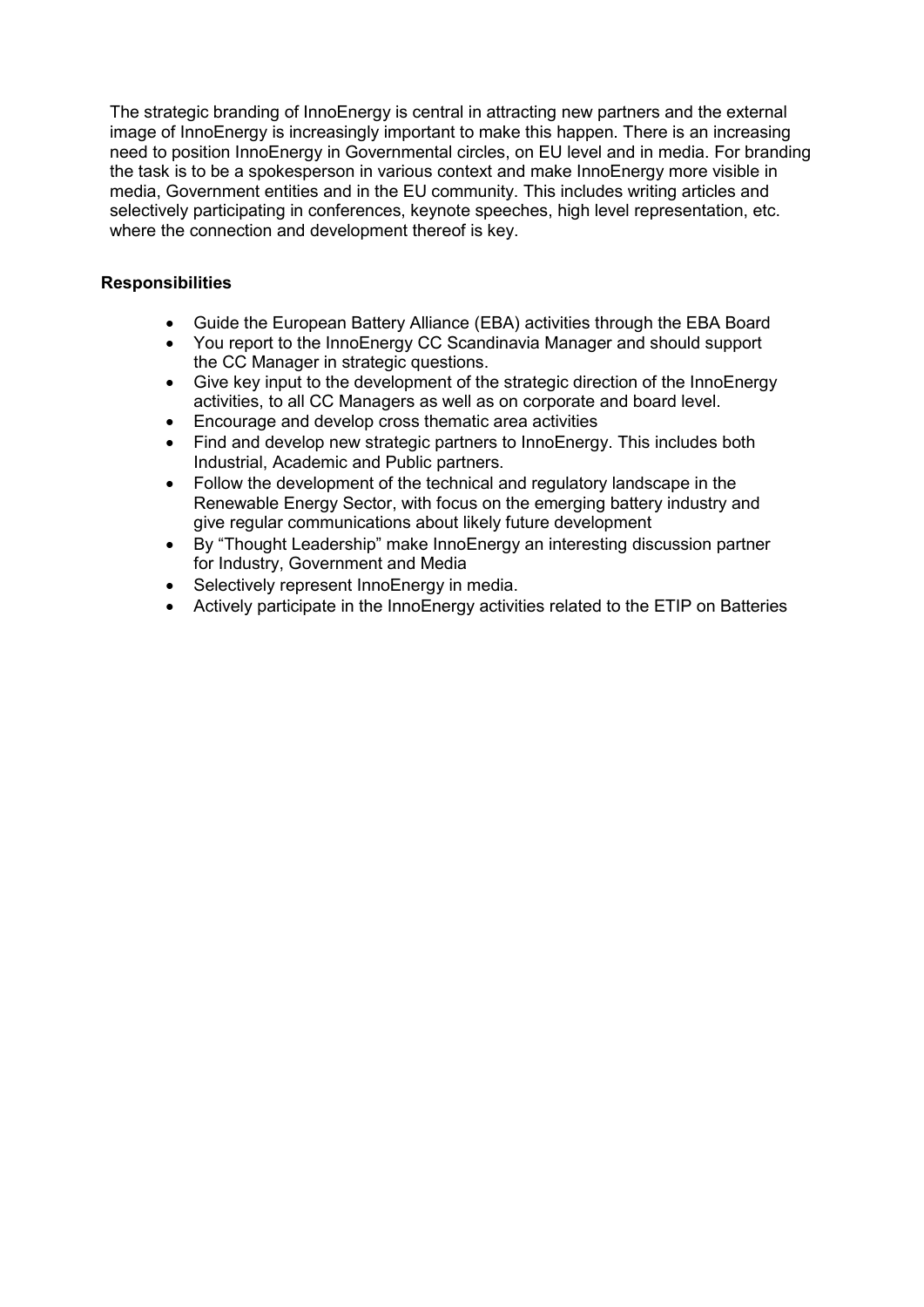The strategic branding of InnoEnergy is central in attracting new partners and the external image of InnoEnergy is increasingly important to make this happen. There is an increasing need to position InnoEnergy in Governmental circles, on EU level and in media. For branding the task is to be a spokesperson in various context and make InnoEnergy more visible in media, Government entities and in the EU community. This includes writing articles and selectively participating in conferences, keynote speeches, high level representation, etc. where the connection and development thereof is key.

## **Responsibilities**

- Guide the European Battery Alliance (EBA) activities through the EBA Board
- You report to the InnoEnergy CC Scandinavia Manager and should support the CC Manager in strategic questions.
- Give key input to the development of the strategic direction of the InnoEnergy activities, to all CC Managers as well as on corporate and board level.
- Encourage and develop cross thematic area activities
- Find and develop new strategic partners to InnoEnergy. This includes both Industrial, Academic and Public partners.
- Follow the development of the technical and regulatory landscape in the Renewable Energy Sector, with focus on the emerging battery industry and give regular communications about likely future development
- By "Thought Leadership" make InnoEnergy an interesting discussion partner for Industry, Government and Media
- Selectively represent InnoEnergy in media.
- Actively participate in the InnoEnergy activities related to the ETIP on Batteries